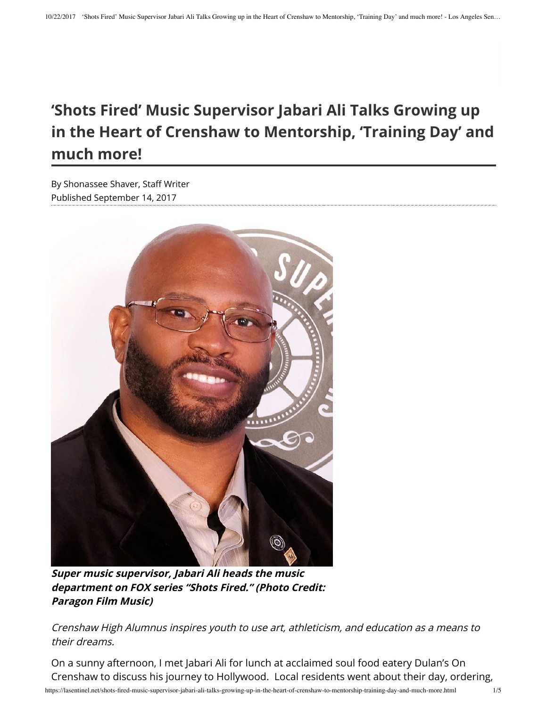## **'Shots Fired' Music Supervisor Jabari Ali Talks Growing up in the Heart of Crenshaw to Mentorship, 'Training Day' and much more!**

Published September 14, 2017 By Shonassee Shaver, Staff Writer



**Super music supervisor, Jabari Ali heads the music department on FOX series "Shots Fired." (Photo Credit: Paragon Film Music)**

Crenshaw High Alumnus inspires youth to use art, athleticism, and education as a means to their dreams.

On a sunny afternoon, I met Jabari Ali for lunch at acclaimed soul food eatery Dulan's On Crenshaw to discuss his journey to Hollywood. Local residents went about their day, ordering,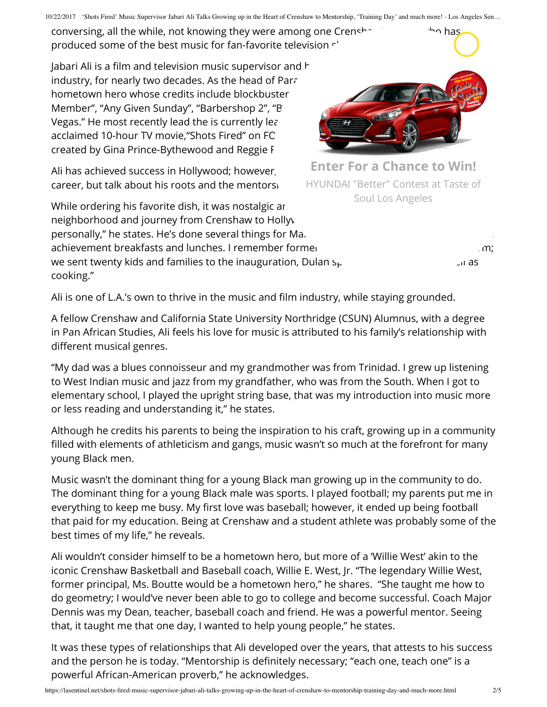conversing, all the while, not knowing they were among one Crenshaps are subsidiary has produced some of the best music for fan-favorite television  $\cdot$ '

Jabari Ali is a film and television music supervisor and  $\hbar$ industry, for nearly two decades. As the head of Paragon  $F$ hometown hero whose credits include blockbuster Member", "Any Given Sunday", "Barbershop 2", "B Vegas." He most recently lead the is currently lead acclaimed 10-hour TV movie, "Shots Fired" on FC created by Gina Prince-Bythewood and Reggie F

Ali has achieved success in Hollywood; however, career, but talk about his roots and the mentorship

While ordering his favorite dish, it was nostalgic ar. neighborhood and journey from Crenshaw to Holly. personally," he states. He's done several things for Ma. achievement breakfasts and lunches. I remember former President Barack Obama's rates and we sent twenty kids and families to the inauguration, Dulan  $s_{\text{th}}$  as we sent twenty kids and families to the inauguration, Dulan  $s_{\text{th}}$ cooking."



**Enter For a Chance to Win!** HYUNDAI "Better" Contest at Taste of Soul Los Angeles

Ali is one of L.A.'s own to thrive in the music and film industry, while staying grounded.

A fellow Crenshaw and California State University Northridge (CSUN) Alumnus, with a degree in Pan African Studies, Ali feels his love for music is attributed to his family's relationship with different musical genres.

"My dad was a blues connoisseur and my grandmother was from Trinidad. I grew up listening to West Indian music and jazz from my grandfather, who was from the South. When I got to elementary school, I played the upright string base, that was my introduction into music more or less reading and understanding it," he states.

Although he credits his parents to being the inspiration to his craft, growing up in a community filled with elements of athleticism and gangs, music wasn't so much at the forefront for many young Black men.

Music wasn't the dominant thing for a young Black man growing up in the community to do. The dominant thing for a young Black male was sports. I played football; my parents put me in everything to keep me busy. My first love was baseball; however, it ended up being football that paid for my education. Being at Crenshaw and a student athlete was probably some of the best times of my life," he reveals.

Ali wouldn't consider himself to be a hometown hero, but more of a 'Willie West' akin to the iconic Crenshaw Basketball and Baseball coach, Willie E. West, Jr. "The legendary Willie West, former principal, Ms. Boutte would be a hometown hero," he shares. "She taught me how to do geometry; I would've never been able to go to college and become successful. Coach Major Dennis was my Dean, teacher, baseball coach and friend. He was a powerful mentor. Seeing that, it taught me that one day, I wanted to help young people," he states.

It was these types of relationships that Ali developed over the years, that attests to his success and the person he is today. "Mentorship is definitely necessary; "each one, teach one" is a powerful African-American proverb," he acknowledges.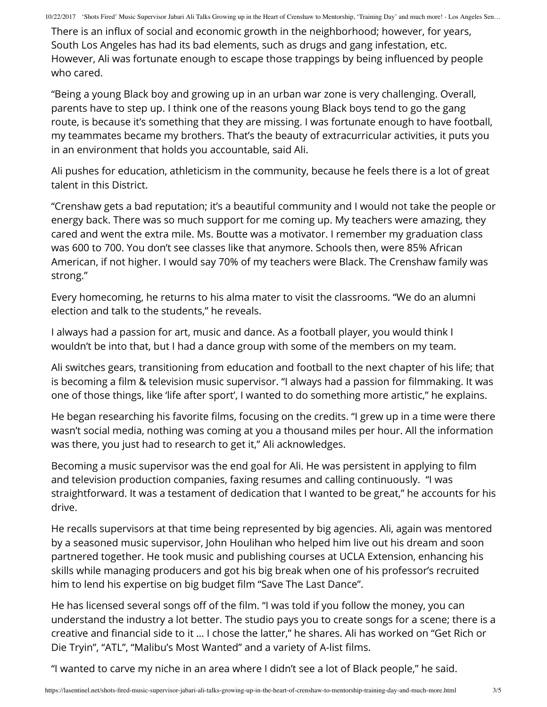There is an influx of social and economic growth in the neighborhood; however, for years, South Los Angeles has had its bad elements, such as drugs and gang infestation, etc. However, Ali was fortunate enough to escape those trappings by being influenced by people who cared.

"Being a young Black boy and growing up in an urban war zone is very challenging. Overall, parents have to step up. I think one of the reasons young Black boys tend to go the gang route, is because it's something that they are missing. I was fortunate enough to have football, my teammates became my brothers. That's the beauty of extracurricular activities, it puts you in an environment that holds you accountable, said Ali.

Ali pushes for education, athleticism in the community, because he feels there is a lot of great talent in this District.

"Crenshaw gets a bad reputation; it's a beautiful community and I would not take the people or energy back. There was so much support for me coming up. My teachers were amazing, they cared and went the extra mile. Ms. Boutte was a motivator. I remember my graduation class was 600 to 700. You don't see classes like that anymore. Schools then, were 85% African American, if not higher. I would say 70% of my teachers were Black. The Crenshaw family was strong."

Every homecoming, he returns to his alma mater to visit the classrooms. "We do an alumni election and talk to the students," he reveals.

I always had a passion for art, music and dance. As a football player, you would think I wouldn't be into that, but I had a dance group with some of the members on my team.

Ali switches gears, transitioning from education and football to the next chapter of his life; that is becoming a film & television music supervisor. "I always had a passion for filmmaking. It was one of those things, like 'life after sport', I wanted to do something more artistic," he explains.

He began researching his favorite films, focusing on the credits. "I grew up in a time were there wasn't social media, nothing was coming at you a thousand miles per hour. All the information was there, you just had to research to get it," Ali acknowledges.

Becoming a music supervisor was the end goal for Ali. He was persistent in applying to film and television production companies, faxing resumes and calling continuously. "I was straightforward. It was a testament of dedication that I wanted to be great," he accounts for his drive.

He recalls supervisors at that time being represented by big agencies. Ali, again was mentored by a seasoned music supervisor, John Houlihan who helped him live out his dream and soon partnered together. He took music and publishing courses at UCLA Extension, enhancing his skills while managing producers and got his big break when one of his professor's recruited him to lend his expertise on big budget film "Save The Last Dance".

He has licensed several songs off of the film. "I was told if you follow the money, you can understand the industry a lot better. The studio pays you to create songs for a scene; there is a creative and financial side to it ... I chose the latter," he shares. Ali has worked on "Get Rich or Die Tryin", "ATL", "Malibu's Most Wanted" and a variety of A-list films.

"I wanted to carve my niche in an area where I didn't see a lot of Black people," he said.